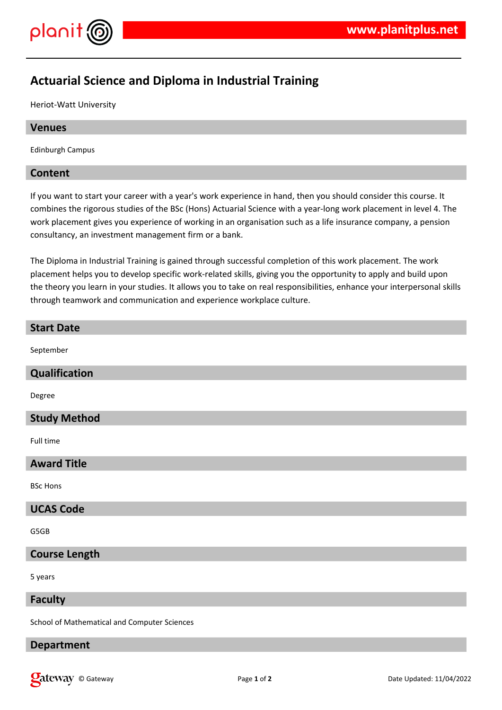

# **Actuarial Science and Diploma in Industrial Training**

Heriot-Watt University

# **Venues**

Edinburgh Campus

# **Content**

If you want to start your career with a year's work experience in hand, then you should consider this course. It combines the rigorous studies of the BSc (Hons) Actuarial Science with a year-long work placement in level 4. The work placement gives you experience of working in an organisation such as a life insurance company, a pension consultancy, an investment management firm or a bank.

The Diploma in Industrial Training is gained through successful completion of this work placement. The work placement helps you to develop specific work-related skills, giving you the opportunity to apply and build upon the theory you learn in your studies. It allows you to take on real responsibilities, enhance your interpersonal skills through teamwork and communication and experience workplace culture.

# **Start Date** September **Qualification** Degree **Study Method** Full time **Award Title** BSc Hons **UCAS Code** G5GB **Course Length** 5 years **Faculty**

School of Mathematical and Computer Sciences

# **Department**